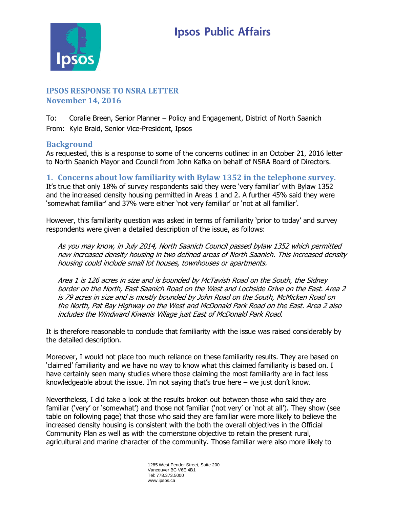

# **IPSOS RESPONSE TO NSRA LETTER November 14, 2016**

To: Coralie Breen, Senior Planner – Policy and Engagement, District of North Saanich From: Kyle Braid, Senior Vice-President, Ipsos

### **Background**

As requested, this is a response to some of the concerns outlined in an October 21, 2016 letter to North Saanich Mayor and Council from John Kafka on behalf of NSRA Board of Directors.

**1. Concerns about low familiarity with Bylaw 1352 in the telephone survey.** It's true that only 18% of survey respondents said they were 'very familiar' with Bylaw 1352 and the increased density housing permitted in Areas 1 and 2. A further 45% said they were 'somewhat familiar' and 37% were either 'not very familiar' or 'not at all familiar'.

However, this familiarity question was asked in terms of familiarity 'prior to today' and survey respondents were given a detailed description of the issue, as follows:

As you may know, in July 2014, North Saanich Council passed bylaw 1352 which permitted new increased density housing in two defined areas of North Saanich. This increased density housing could include small lot houses, townhouses or apartments.

Area 1 is 126 acres in size and is bounded by McTavish Road on the South, the Sidney border on the North, East Saanich Road on the West and Lochside Drive on the East. Area 2 is 79 acres in size and is mostly bounded by John Road on the South, McMicken Road on the North, Pat Bay Highway on the West and McDonald Park Road on the East. Area 2 also includes the Windward Kiwanis Village just East of McDonald Park Road.

It is therefore reasonable to conclude that familiarity with the issue was raised considerably by the detailed description.

Moreover, I would not place too much reliance on these familiarity results. They are based on 'claimed' familiarity and we have no way to know what this claimed familiarity is based on. I have certainly seen many studies where those claiming the most familiarity are in fact less knowledgeable about the issue. I'm not saying that's true here – we just don't know.

Nevertheless, I did take a look at the results broken out between those who said they are familiar ('very' or 'somewhat') and those not familiar ('not very' or 'not at all'). They show (see table on following page) that those who said they are familiar were more likely to believe the increased density housing is consistent with the both the overall objectives in the Official Community Plan as well as with the cornerstone objective to retain the present rural, agricultural and marine character of the community. Those familiar were also more likely to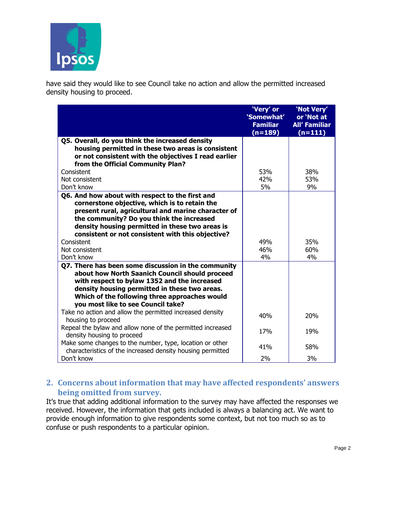

have said they would like to see Council take no action and allow the permitted increased density housing to proceed.

|                                                                                                                        | 'Very' or<br>'Somewhat'<br><b>Familiar</b> | 'Not Very'<br>or 'Not at<br><b>All' Familiar</b> |
|------------------------------------------------------------------------------------------------------------------------|--------------------------------------------|--------------------------------------------------|
|                                                                                                                        | $(n=189)$                                  | $(n=111)$                                        |
| Q5. Overall, do you think the increased density                                                                        |                                            |                                                  |
| housing permitted in these two areas is consistent                                                                     |                                            |                                                  |
| or not consistent with the objectives I read earlier<br>from the Official Community Plan?                              |                                            |                                                  |
| Consistent                                                                                                             | 53%                                        | 38%                                              |
| Not consistent                                                                                                         | 42%                                        | 53%                                              |
| Don't know                                                                                                             | 5%                                         | 9%                                               |
| Q6. And how about with respect to the first and                                                                        |                                            |                                                  |
| cornerstone objective, which is to retain the                                                                          |                                            |                                                  |
| present rural, agricultural and marine character of                                                                    |                                            |                                                  |
| the community? Do you think the increased                                                                              |                                            |                                                  |
| density housing permitted in these two areas is                                                                        |                                            |                                                  |
| consistent or not consistent with this objective?                                                                      |                                            |                                                  |
| Consistent<br>Not consistent                                                                                           | 49%<br>46%                                 | 35%<br>60%                                       |
| Don't know                                                                                                             | 4%                                         | 4%                                               |
| Q7. There has been some discussion in the community                                                                    |                                            |                                                  |
| about how North Saanich Council should proceed                                                                         |                                            |                                                  |
| with respect to bylaw 1352 and the increased                                                                           |                                            |                                                  |
| density housing permitted in these two areas.                                                                          |                                            |                                                  |
| Which of the following three approaches would                                                                          |                                            |                                                  |
| you most like to see Council take?                                                                                     |                                            |                                                  |
| Take no action and allow the permitted increased density<br>housing to proceed                                         | 40%                                        | 20%                                              |
| Repeal the bylaw and allow none of the permitted increased<br>density housing to proceed                               | 17 <sub>%</sub>                            | 19%                                              |
| Make some changes to the number, type, location or other<br>characteristics of the increased density housing permitted | 41%                                        | 58%                                              |
| Don't know                                                                                                             | 2%                                         | 3%                                               |

## **2. Concerns about information that may have affected respondents' answers being omitted from survey.**

It's true that adding additional information to the survey may have affected the responses we received. However, the information that gets included is always a balancing act. We want to provide enough information to give respondents some context, but not too much so as to confuse or push respondents to a particular opinion.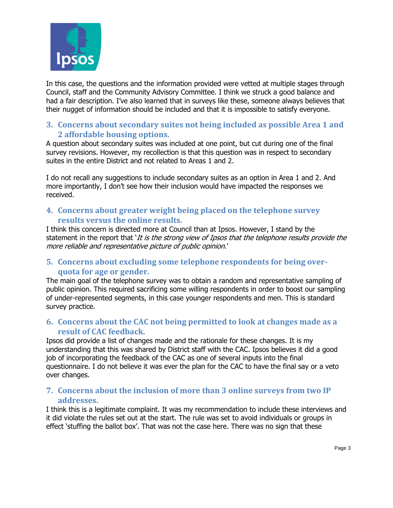

In this case, the questions and the information provided were vetted at multiple stages through Council, staff and the Community Advisory Committee. I think we struck a good balance and had a fair description. I've also learned that in surveys like these, someone always believes that their nugget of information should be included and that it is impossible to satisfy everyone.

## **3. Concerns about secondary suites not being included as possible Area 1 and 2 affordable housing options.**

A question about secondary suites was included at one point, but cut during one of the final survey revisions. However, my recollection is that this question was in respect to secondary suites in the entire District and not related to Areas 1 and 2.

I do not recall any suggestions to include secondary suites as an option in Area 1 and 2. And more importantly, I don't see how their inclusion would have impacted the responses we received.

#### **4. Concerns about greater weight being placed on the telephone survey results versus the online results.**

I think this concern is directed more at Council than at Ipsos. However, I stand by the statement in the report that 'It is the strong view of Ipsos that the telephone results provide the more reliable and representative picture of public opinion.'

## **5. Concerns about excluding some telephone respondents for being overquota for age or gender.**

The main goal of the telephone survey was to obtain a random and representative sampling of public opinion. This required sacrificing some willing respondents in order to boost our sampling of under-represented segments, in this case younger respondents and men. This is standard survey practice.

## **6. Concerns about the CAC not being permitted to look at changes made as a result of CAC feedback.**

Ipsos did provide a list of changes made and the rationale for these changes. It is my understanding that this was shared by District staff with the CAC. Ipsos believes it did a good job of incorporating the feedback of the CAC as one of several inputs into the final questionnaire. I do not believe it was ever the plan for the CAC to have the final say or a veto over changes.

## **7. Concerns about the inclusion of more than 3 online surveys from two IP addresses.**

I think this is a legitimate complaint. It was my recommendation to include these interviews and it did violate the rules set out at the start. The rule was set to avoid individuals or groups in effect 'stuffing the ballot box'. That was not the case here. There was no sign that these